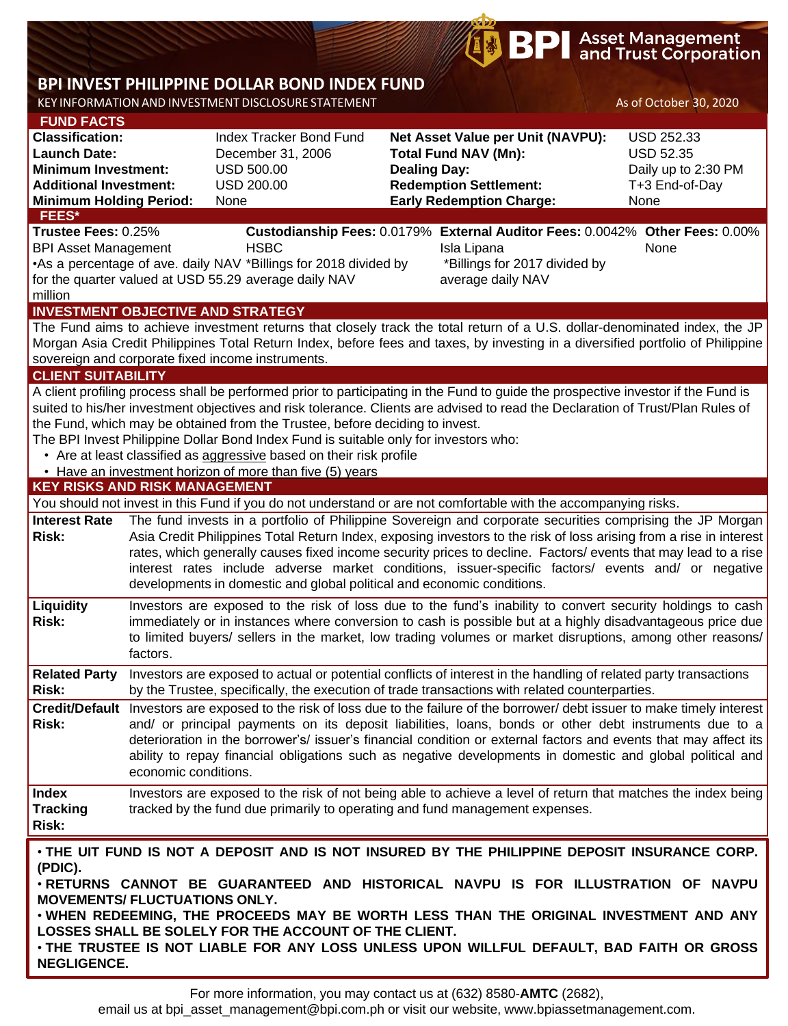# **BP** Asset Management

## **BPI INVEST PHILIPPINE DOLLAR BOND INDEX FUND**

KEY INFORMATIONAND INVESTMENT DISCLOSURE STATEMENT As of October 30, 2020

| <b>FUND FACTS</b>                                                                                                                                                                                                                                                                                                                                                                                                                                                                                                                                                                                           |                                                                                                                                                                                                                                                                                                                                                                                                                                                                                                                                   |                                                                                                                                                                                                                                                                                                                                                                                                                                                                                                    |                     |                                                                                                                                                                                                                                                                                | $1001$ second spigman                                                                  |  |  |  |  |
|-------------------------------------------------------------------------------------------------------------------------------------------------------------------------------------------------------------------------------------------------------------------------------------------------------------------------------------------------------------------------------------------------------------------------------------------------------------------------------------------------------------------------------------------------------------------------------------------------------------|-----------------------------------------------------------------------------------------------------------------------------------------------------------------------------------------------------------------------------------------------------------------------------------------------------------------------------------------------------------------------------------------------------------------------------------------------------------------------------------------------------------------------------------|----------------------------------------------------------------------------------------------------------------------------------------------------------------------------------------------------------------------------------------------------------------------------------------------------------------------------------------------------------------------------------------------------------------------------------------------------------------------------------------------------|---------------------|--------------------------------------------------------------------------------------------------------------------------------------------------------------------------------------------------------------------------------------------------------------------------------|----------------------------------------------------------------------------------------|--|--|--|--|
| <b>Classification:</b><br><b>Launch Date:</b><br><b>Minimum Investment:</b><br><b>Additional Investment:</b><br><b>Minimum Holding Period:</b>                                                                                                                                                                                                                                                                                                                                                                                                                                                              |                                                                                                                                                                                                                                                                                                                                                                                                                                                                                                                                   | Index Tracker Bond Fund<br>December 31, 2006<br><b>USD 500.00</b><br><b>USD 200.00</b><br>None                                                                                                                                                                                                                                                                                                                                                                                                     | <b>Dealing Day:</b> | Net Asset Value per Unit (NAVPU):<br><b>Total Fund NAV (Mn):</b><br><b>Redemption Settlement:</b><br><b>Early Redemption Charge:</b>                                                                                                                                           | <b>USD 252.33</b><br><b>USD 52.35</b><br>Daily up to 2:30 PM<br>T+3 End-of-Day<br>None |  |  |  |  |
| <b>FEES*</b><br>Trustee Fees: 0.25%<br><b>BPI Asset Management</b><br>•As a percentage of ave. daily NAV *Billings for 2018 divided by<br>for the quarter valued at USD 55.29 average daily NAV<br>million                                                                                                                                                                                                                                                                                                                                                                                                  |                                                                                                                                                                                                                                                                                                                                                                                                                                                                                                                                   | <b>HSBC</b>                                                                                                                                                                                                                                                                                                                                                                                                                                                                                        |                     | Custodianship Fees: 0.0179% External Auditor Fees: 0.0042% Other Fees: 0.00%<br>Isla Lipana<br>*Billings for 2017 divided by<br>average daily NAV                                                                                                                              | None                                                                                   |  |  |  |  |
| <b>INVESTMENT OBJECTIVE AND STRATEGY</b>                                                                                                                                                                                                                                                                                                                                                                                                                                                                                                                                                                    |                                                                                                                                                                                                                                                                                                                                                                                                                                                                                                                                   | sovereign and corporate fixed income instruments.                                                                                                                                                                                                                                                                                                                                                                                                                                                  |                     | The Fund aims to achieve investment returns that closely track the total return of a U.S. dollar-denominated index, the JP<br>Morgan Asia Credit Philippines Total Return Index, before fees and taxes, by investing in a diversified portfolio of Philippine                  |                                                                                        |  |  |  |  |
| <b>CLIENT SUITABILITY</b><br>A client profiling process shall be performed prior to participating in the Fund to guide the prospective investor if the Fund is<br>suited to his/her investment objectives and risk tolerance. Clients are advised to read the Declaration of Trust/Plan Rules of<br>the Fund, which may be obtained from the Trustee, before deciding to invest.<br>The BPI Invest Philippine Dollar Bond Index Fund is suitable only for investors who:<br>• Are at least classified as aggressive based on their risk profile<br>• Have an investment horizon of more than five (5) years |                                                                                                                                                                                                                                                                                                                                                                                                                                                                                                                                   |                                                                                                                                                                                                                                                                                                                                                                                                                                                                                                    |                     |                                                                                                                                                                                                                                                                                |                                                                                        |  |  |  |  |
| <b>KEY RISKS AND RISK MANAGEMENT</b>                                                                                                                                                                                                                                                                                                                                                                                                                                                                                                                                                                        |                                                                                                                                                                                                                                                                                                                                                                                                                                                                                                                                   |                                                                                                                                                                                                                                                                                                                                                                                                                                                                                                    |                     |                                                                                                                                                                                                                                                                                |                                                                                        |  |  |  |  |
|                                                                                                                                                                                                                                                                                                                                                                                                                                                                                                                                                                                                             |                                                                                                                                                                                                                                                                                                                                                                                                                                                                                                                                   |                                                                                                                                                                                                                                                                                                                                                                                                                                                                                                    |                     | You should not invest in this Fund if you do not understand or are not comfortable with the accompanying risks.                                                                                                                                                                |                                                                                        |  |  |  |  |
| <b>Interest Rate</b><br><b>Risk:</b>                                                                                                                                                                                                                                                                                                                                                                                                                                                                                                                                                                        | The fund invests in a portfolio of Philippine Sovereign and corporate securities comprising the JP Morgan<br>Asia Credit Philippines Total Return Index, exposing investors to the risk of loss arising from a rise in interest<br>rates, which generally causes fixed income security prices to decline. Factors/ events that may lead to a rise<br>interest rates include adverse market conditions, issuer-specific factors/ events and/ or negative<br>developments in domestic and global political and economic conditions. |                                                                                                                                                                                                                                                                                                                                                                                                                                                                                                    |                     |                                                                                                                                                                                                                                                                                |                                                                                        |  |  |  |  |
| Liquidity<br><b>Risk:</b>                                                                                                                                                                                                                                                                                                                                                                                                                                                                                                                                                                                   | Investors are exposed to the risk of loss due to the fund's inability to convert security holdings to cash<br>immediately or in instances where conversion to cash is possible but at a highly disadvantageous price due<br>to limited buyers/ sellers in the market, low trading volumes or market disruptions, among other reasons/<br>factors.                                                                                                                                                                                 |                                                                                                                                                                                                                                                                                                                                                                                                                                                                                                    |                     |                                                                                                                                                                                                                                                                                |                                                                                        |  |  |  |  |
| <b>Related Party</b><br><b>Risk:</b>                                                                                                                                                                                                                                                                                                                                                                                                                                                                                                                                                                        | Investors are exposed to actual or potential conflicts of interest in the handling of related party transactions<br>by the Trustee, specifically, the execution of trade transactions with related counterparties.                                                                                                                                                                                                                                                                                                                |                                                                                                                                                                                                                                                                                                                                                                                                                                                                                                    |                     |                                                                                                                                                                                                                                                                                |                                                                                        |  |  |  |  |
| <b>Risk:</b>                                                                                                                                                                                                                                                                                                                                                                                                                                                                                                                                                                                                |                                                                                                                                                                                                                                                                                                                                                                                                                                                                                                                                   | Credit/Default Investors are exposed to the risk of loss due to the failure of the borrower/debt issuer to make timely interest<br>and/ or principal payments on its deposit liabilities, loans, bonds or other debt instruments due to a<br>deterioration in the borrower's/ issuer's financial condition or external factors and events that may affect its<br>ability to repay financial obligations such as negative developments in domestic and global political and<br>economic conditions. |                     |                                                                                                                                                                                                                                                                                |                                                                                        |  |  |  |  |
| <b>Index</b><br><b>Tracking</b><br><b>Risk:</b>                                                                                                                                                                                                                                                                                                                                                                                                                                                                                                                                                             |                                                                                                                                                                                                                                                                                                                                                                                                                                                                                                                                   | tracked by the fund due primarily to operating and fund management expenses.                                                                                                                                                                                                                                                                                                                                                                                                                       |                     | Investors are exposed to the risk of not being able to achieve a level of return that matches the index being                                                                                                                                                                  |                                                                                        |  |  |  |  |
| (PDIC).<br><b>MOVEMENTS/ FLUCTUATIONS ONLY.</b>                                                                                                                                                                                                                                                                                                                                                                                                                                                                                                                                                             |                                                                                                                                                                                                                                                                                                                                                                                                                                                                                                                                   |                                                                                                                                                                                                                                                                                                                                                                                                                                                                                                    |                     | $\cdot$ the uit fund is not a deposit and is not insured by the philippine deposit insurance corp.<br>. RETURNS CANNOT BE GUARANTEED AND HISTORICAL NAVPU IS FOR ILLUSTRATION OF NAVPU<br>. WHEN REDEEMING THE PROCEEDS MAY BE WORTH LESS THAN THE ORIGINAL INVESTMENT AND ANY |                                                                                        |  |  |  |  |

• **WHEN REDEEMING, THE PROCEEDS MAY BE WORTH LESS THAN THE ORIGINAL INVESTMENT AND ANY LOSSES SHALL BE SOLELY FOR THE ACCOUNT OF THE CLIENT.**

• **THE TRUSTEE IS NOT LIABLE FOR ANY LOSS UNLESS UPON WILLFUL DEFAULT, BAD FAITH OR GROSS NEGLIGENCE.**

email us at bpi\_asset\_management@bpi.com.ph or visit our website, www.bpiassetmanagement.com.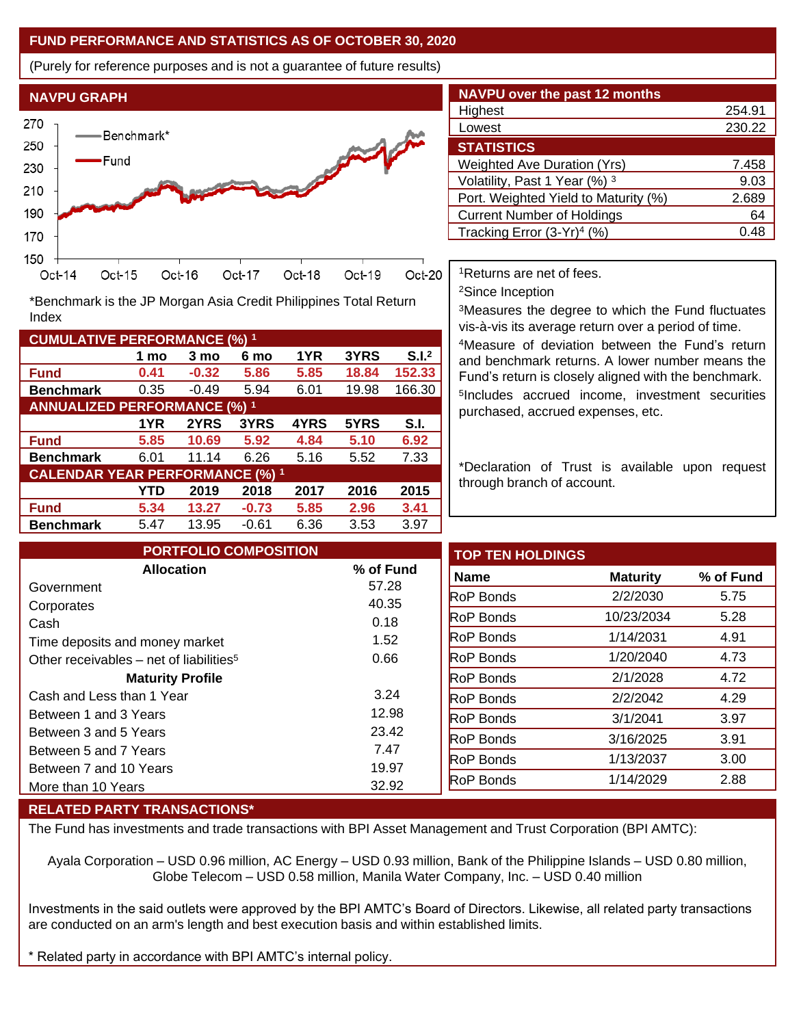### **FUND PERFORMANCE AND STATISTICS AS OF OCTOBER 30, 2020**

(Purely for reference purposes and is not a guarantee of future results)



**Fund 0.41 -0.32 5.86 5.85 18.84 152.33 Benchmark** 0.35 -0.49 5.94 6.01 19.98 166.30

\*Benchmark is the JP Morgan Asia Credit Philippines Total Return

**Fund 5.85 10.69 5.92 4.84 5.10 6.92 Benchmark** 6.01 11.14 6.26 5.16 5.52 7.33

**Fund 5.34 13.27 -0.73 5.85 2.96 3.41 Benchmark** 5.47 13.95 -0.61 6.36 3.53 3.97

**1 mo 3 mo 6 mo 1YR 3YRS S.I.<sup>2</sup>**

**1YR 2YRS 3YRS 4YRS 5YRS S.I.**

**YTD 2019 2018 2017 2016 2015**

| <b>NAVPU over the past 12 months</b>   |        |  |  |  |  |  |  |
|----------------------------------------|--------|--|--|--|--|--|--|
| Highest                                | 254.91 |  |  |  |  |  |  |
| Lowest                                 | 230.22 |  |  |  |  |  |  |
| <b>STATISTICS</b>                      |        |  |  |  |  |  |  |
| <b>Weighted Ave Duration (Yrs)</b>     | 7.458  |  |  |  |  |  |  |
| Volatility, Past 1 Year (%) 3          | 9.03   |  |  |  |  |  |  |
| Port. Weighted Yield to Maturity (%)   | 2.689  |  |  |  |  |  |  |
| <b>Current Number of Holdings</b>      | 64     |  |  |  |  |  |  |
| Tracking Error (3-Yr) <sup>4</sup> (%) | 0.48   |  |  |  |  |  |  |

<sup>1</sup>Returns are net of fees.

<sup>2</sup>Since Inception

<sup>3</sup>Measures the degree to which the Fund fluctuates vis-à-vis its average return over a period of time.

<sup>4</sup>Measure of deviation between the Fund's return and benchmark returns. A lower number means the Fund's return is closely aligned with the benchmark. 5 Includes accrued income, investment securities purchased, accrued expenses, etc.

\*Declaration of Trust is available upon request through branch of account.

| <b>PORTFOLIO COMPOSITION</b>                        |           | <b>TOP TEN HOLDINGS</b> |                 |           |
|-----------------------------------------------------|-----------|-------------------------|-----------------|-----------|
| <b>Allocation</b>                                   | % of Fund | <b>Name</b>             | <b>Maturity</b> | % of Fund |
| Government                                          | 57.28     | <b>RoP Bonds</b>        | 2/2/2030        |           |
| Corporates                                          | 40.35     |                         |                 |           |
| Cash                                                | 0.18      | <b>RoP Bonds</b>        | 10/23/2034      |           |
| Time deposits and money market                      | 1.52      | <b>RoP Bonds</b>        | 1/14/2031       |           |
| Other receivables - net of liabilities <sup>5</sup> | 0.66      | <b>RoP Bonds</b>        | 1/20/2040       |           |
| <b>Maturity Profile</b>                             |           | <b>RoP Bonds</b>        | 2/1/2028        |           |
| Cash and Less than 1 Year                           | 3.24      | <b>RoP Bonds</b>        | 2/2/2042        |           |
| Between 1 and 3 Years                               | 12.98     | <b>RoP Bonds</b>        | 3/1/2041        |           |
| Between 3 and 5 Years                               | 23.42     | <b>RoP Bonds</b>        | 3/16/2025       |           |
| Between 5 and 7 Years                               | 7.47      | <b>RoP Bonds</b>        | 1/13/2037       |           |
| Between 7 and 10 Years                              | 19.97     |                         |                 |           |
| More than 10 Years                                  | 32.92     | <b>RoP Bonds</b>        | 1/14/2029       |           |

#### **RELATED PARTY TRANSACTIONS\***

**CUMULATIVE PERFORMANCE (%) <sup>1</sup>**

Index

**ANNUALIZED PERFORMANCE (%) <sup>1</sup>**

**CALENDAR YEAR PERFORMANCE (%) <sup>1</sup>**

The Fund has investments and trade transactions with BPI Asset Management and Trust Corporation (BPI AMTC):

Ayala Corporation – USD 0.96 million, AC Energy – USD 0.93 million, Bank of the Philippine Islands – USD 0.80 million, Globe Telecom – USD 0.58 million, Manila Water Company, Inc. – USD 0.40 million

Investments in the said outlets were approved by the BPI AMTC's Board of Directors. Likewise, all related party transactions are conducted on an arm's length and best execution basis and within established limits.

Related party in accordance with BPI AMTC's internal policy.